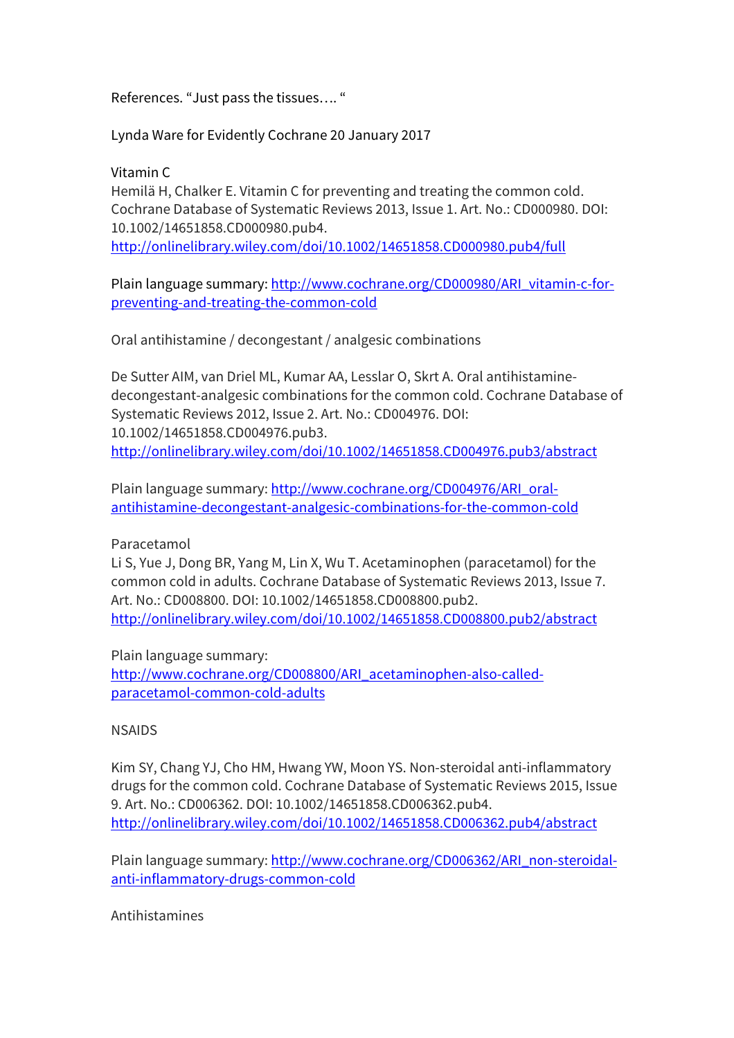References. "Just pass the tissues…. "

Lynda Ware for Evidently Cochrane 20 January 2017

Vitamin C

Hemilä H, Chalker E. Vitamin C for preventing and treating the common cold. Cochrane Database of Systematic Reviews 2013, Issue 1. Art. No.: CD000980. DOI: 10.1002/14651858.CD000980.pub4. http://onlinelibrary.wiley.com/doi/10.1002/14651858.CD000980.pub4/full

Plain language summary: http://www.cochrane.org/CD000980/ARI\_vitamin-c-forpreventing-and-treating-the-common-cold

Oral antihistamine / decongestant / analgesic combinations

De Sutter AIM, van Driel ML, Kumar AA, Lesslar O, Skrt A. Oral antihistaminedecongestant-analgesic combinations for the common cold. Cochrane Database of Systematic Reviews 2012, Issue 2. Art. No.: CD004976. DOI: 10.1002/14651858.CD004976.pub3. http://onlinelibrary.wiley.com/doi/10.1002/14651858.CD004976.pub3/abstract

Plain language summary: http://www.cochrane.org/CD004976/ARI\_oralantihistamine-decongestant-analgesic-combinations-for-the-common-cold

Paracetamol

Li S, Yue J, Dong BR, Yang M, Lin X, Wu T. Acetaminophen (paracetamol) for the common cold in adults. Cochrane Database of Systematic Reviews 2013, Issue 7. Art. No.: CD008800. DOI: 10.1002/14651858.CD008800.pub2. http://onlinelibrary.wiley.com/doi/10.1002/14651858.CD008800.pub2/abstract

Plain language summary:

http://www.cochrane.org/CD008800/ARI\_acetaminophen-also-calledparacetamol-common-cold-adults

**NSAIDS** 

Kim SY, Chang YJ, Cho HM, Hwang YW, Moon YS. Non-steroidal anti-inflammatory drugs for the common cold. Cochrane Database of Systematic Reviews 2015, Issue 9. Art. No.: CD006362. DOI: 10.1002/14651858.CD006362.pub4. http://onlinelibrary.wiley.com/doi/10.1002/14651858.CD006362.pub4/abstract

Plain language summary: http://www.cochrane.org/CD006362/ARI\_non-steroidalanti-inflammatory-drugs-common-cold

Antihistamines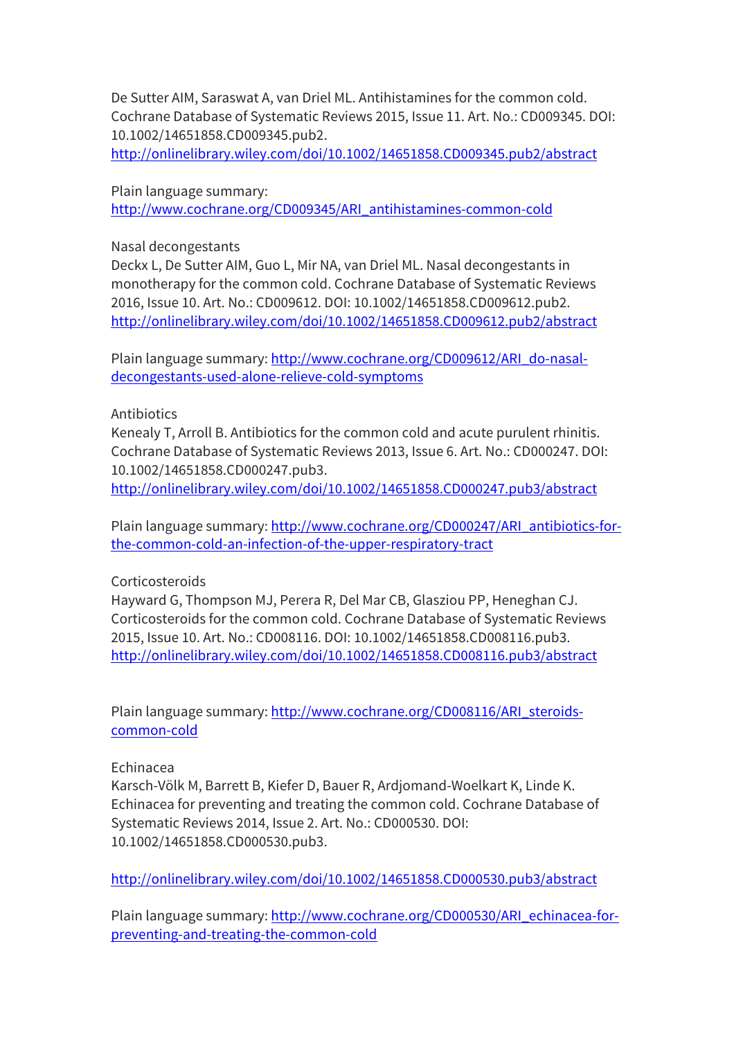De Sutter AIM, Saraswat A, van Driel ML. Antihistamines for the common cold. Cochrane Database of Systematic Reviews 2015, Issue 11. Art. No.: CD009345. DOI: 10.1002/14651858.CD009345.pub2.

http://onlinelibrary.wiley.com/doi/10.1002/14651858.CD009345.pub2/abstract

Plain language summary: http://www.cochrane.org/CD009345/ARI\_antihistamines-common-cold

Nasal decongestants

Deckx L, De Sutter AIM, Guo L, Mir NA, van Driel ML. Nasal decongestants in monotherapy for the common cold. Cochrane Database of Systematic Reviews 2016, Issue 10. Art. No.: CD009612. DOI: 10.1002/14651858.CD009612.pub2. http://onlinelibrary.wiley.com/doi/10.1002/14651858.CD009612.pub2/abstract

Plain language summary: http://www.cochrane.org/CD009612/ARI\_do-nasaldecongestants-used-alone-relieve-cold-symptoms

## **Antibiotics**

Kenealy T, Arroll B. Antibiotics for the common cold and acute purulent rhinitis. Cochrane Database of Systematic Reviews 2013, Issue 6. Art. No.: CD000247. DOI: 10.1002/14651858.CD000247.pub3.

http://onlinelibrary.wiley.com/doi/10.1002/14651858.CD000247.pub3/abstract

Plain language summary: http://www.cochrane.org/CD000247/ARI\_antibiotics-forthe-common-cold-an-infection-of-the-upper-respiratory-tract

## Corticosteroids

Hayward G, Thompson MJ, Perera R, Del Mar CB, Glasziou PP, Heneghan CJ. Corticosteroids for the common cold. Cochrane Database of Systematic Reviews 2015, Issue 10. Art. No.: CD008116. DOI: 10.1002/14651858.CD008116.pub3. http://onlinelibrary.wiley.com/doi/10.1002/14651858.CD008116.pub3/abstract

Plain language summary: http://www.cochrane.org/CD008116/ARI\_steroidscommon-cold

## Echinacea

Karsch-Völk M, Barrett B, Kiefer D, Bauer R, Ardjomand-Woelkart K, Linde K. Echinacea for preventing and treating the common cold. Cochrane Database of Systematic Reviews 2014, Issue 2. Art. No.: CD000530. DOI: 10.1002/14651858.CD000530.pub3.

http://onlinelibrary.wiley.com/doi/10.1002/14651858.CD000530.pub3/abstract

Plain language summary: http://www.cochrane.org/CD000530/ARI\_echinacea-forpreventing-and-treating-the-common-cold